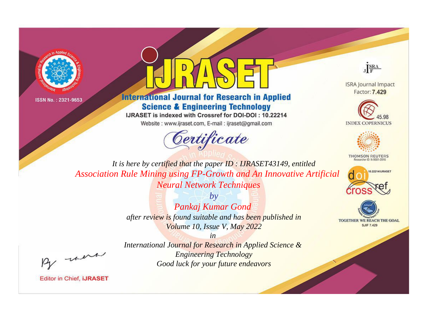



# **International Journal for Research in Applied Science & Engineering Technology**

IJRASET is indexed with Crossref for DOI-DOI: 10.22214

Website: www.ijraset.com, E-mail: ijraset@gmail.com





**ISRA Journal Impact** Factor: 7.429





**THOMSON REUTERS** 



TOGETHER WE REACH THE GOAL **SJIF 7.429** 

*It is here by certified that the paper ID : IJRASET43149, entitled Association Rule Mining using FP-Growth and An Innovative Artificial Neural Network Techniques*

> *by Pankaj Kumar Gond after review is found suitable and has been published in Volume 10, Issue V, May 2022*

, un

*International Journal for Research in Applied Science & Engineering Technology Good luck for your future endeavors*

*in*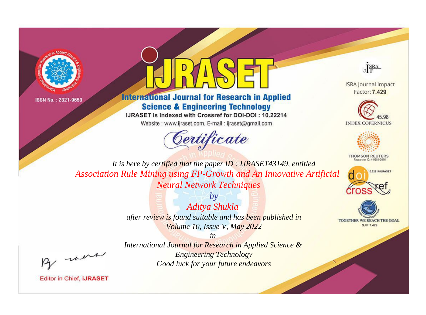



## **International Journal for Research in Applied Science & Engineering Technology**

IJRASET is indexed with Crossref for DOI-DOI: 10.22214

Website: www.ijraset.com, E-mail: ijraset@gmail.com



JERA

**ISRA Journal Impact** Factor: 7.429





**THOMSON REUTERS** 



TOGETHER WE REACH THE GOAL **SJIF 7.429** 

It is here by certified that the paper ID: IJRASET43149, entitled Association Rule Mining using FP-Growth and An Innovative Artificial **Neural Network Techniques** 

> $by$ Aditya Shukla after review is found suitable and has been published in Volume 10, Issue V, May 2022

were

International Journal for Research in Applied Science & **Engineering Technology** Good luck for your future endeavors

 $in$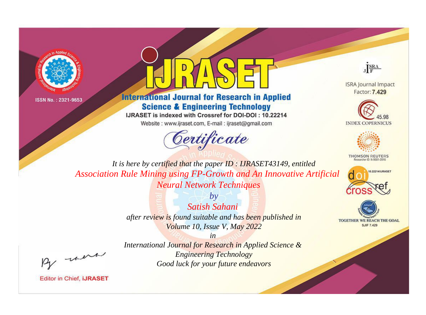



## **International Journal for Research in Applied Science & Engineering Technology**

IJRASET is indexed with Crossref for DOI-DOI: 10.22214

Website: www.ijraset.com, E-mail: ijraset@gmail.com



JERA

**ISRA Journal Impact** Factor: 7.429





**THOMSON REUTERS** 



TOGETHER WE REACH THE GOAL **SJIF 7.429** 

It is here by certified that the paper ID: IJRASET43149, entitled Association Rule Mining using FP-Growth and An Innovative Artificial **Neural Network Techniques** 

> $b\nu$ Satish Sahani after review is found suitable and has been published in Volume 10, Issue V, May 2022

were

International Journal for Research in Applied Science & **Engineering Technology** Good luck for your future endeavors

 $in$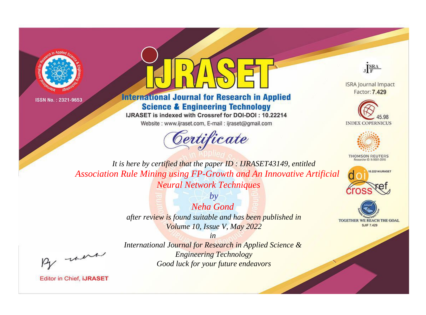



## **International Journal for Research in Applied Science & Engineering Technology**

IJRASET is indexed with Crossref for DOI-DOI: 10.22214

Website: www.ijraset.com, E-mail: ijraset@gmail.com



JERA

**ISRA Journal Impact** Factor: 7.429





**THOMSON REUTERS** 



TOGETHER WE REACH THE GOAL **SJIF 7.429** 

It is here by certified that the paper ID: IJRASET43149, entitled Association Rule Mining using FP-Growth and An Innovative Artificial **Neural Network Techniques** 

> Neha Gond after review is found suitable and has been published in Volume 10, Issue V, May 2022

> > $in$

 $b\nu$ 

were

International Journal for Research in Applied Science & **Engineering Technology** Good luck for your future endeavors